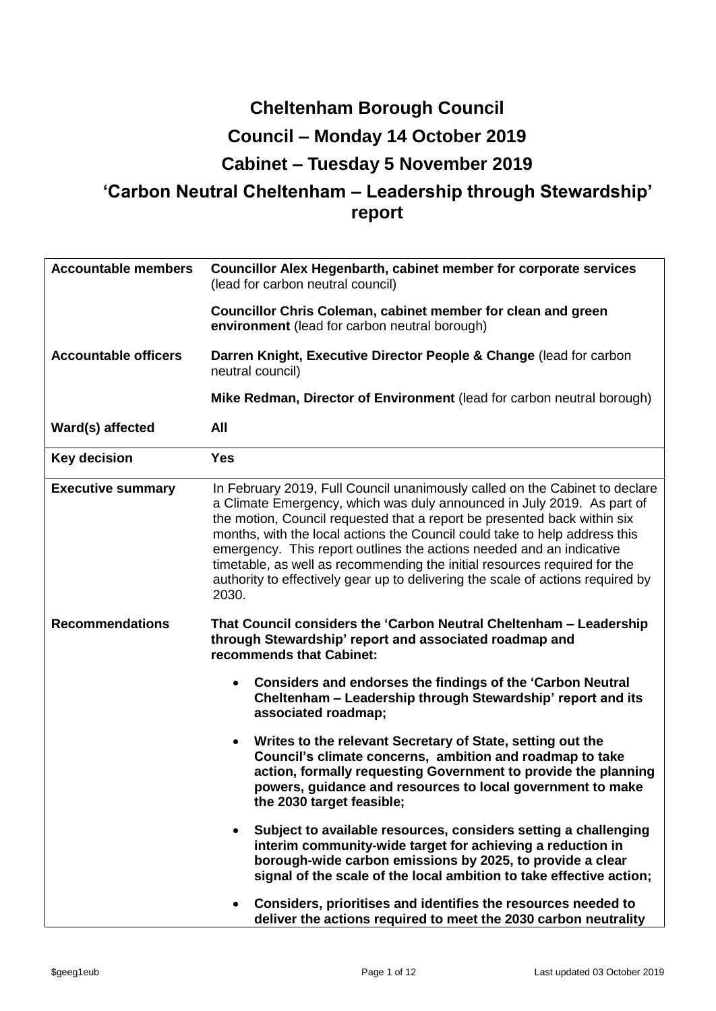# **Cheltenham Borough Council Council – Monday 14 October 2019 Cabinet – Tuesday 5 November 2019**

# **'Carbon Neutral Cheltenham – Leadership through Stewardship' report**

| <b>Accountable members</b>  | Councillor Alex Hegenbarth, cabinet member for corporate services<br>(lead for carbon neutral council)                                                                                                                                                                                                                                                                                                                                                                                                                                                           |  |  |  |  |  |  |
|-----------------------------|------------------------------------------------------------------------------------------------------------------------------------------------------------------------------------------------------------------------------------------------------------------------------------------------------------------------------------------------------------------------------------------------------------------------------------------------------------------------------------------------------------------------------------------------------------------|--|--|--|--|--|--|
|                             | <b>Councillor Chris Coleman, cabinet member for clean and green</b><br>environment (lead for carbon neutral borough)                                                                                                                                                                                                                                                                                                                                                                                                                                             |  |  |  |  |  |  |
| <b>Accountable officers</b> | Darren Knight, Executive Director People & Change (lead for carbon<br>neutral council)                                                                                                                                                                                                                                                                                                                                                                                                                                                                           |  |  |  |  |  |  |
|                             | Mike Redman, Director of Environment (lead for carbon neutral borough)                                                                                                                                                                                                                                                                                                                                                                                                                                                                                           |  |  |  |  |  |  |
| Ward(s) affected            | <b>All</b>                                                                                                                                                                                                                                                                                                                                                                                                                                                                                                                                                       |  |  |  |  |  |  |
| <b>Key decision</b>         | <b>Yes</b>                                                                                                                                                                                                                                                                                                                                                                                                                                                                                                                                                       |  |  |  |  |  |  |
| <b>Executive summary</b>    | In February 2019, Full Council unanimously called on the Cabinet to declare<br>a Climate Emergency, which was duly announced in July 2019. As part of<br>the motion, Council requested that a report be presented back within six<br>months, with the local actions the Council could take to help address this<br>emergency. This report outlines the actions needed and an indicative<br>timetable, as well as recommending the initial resources required for the<br>authority to effectively gear up to delivering the scale of actions required by<br>2030. |  |  |  |  |  |  |
| <b>Recommendations</b>      | That Council considers the 'Carbon Neutral Cheltenham - Leadership<br>through Stewardship' report and associated roadmap and<br>recommends that Cabinet:                                                                                                                                                                                                                                                                                                                                                                                                         |  |  |  |  |  |  |
|                             | Considers and endorses the findings of the 'Carbon Neutral<br>$\bullet$<br>Cheltenham - Leadership through Stewardship' report and its<br>associated roadmap;                                                                                                                                                                                                                                                                                                                                                                                                    |  |  |  |  |  |  |
|                             | Writes to the relevant Secretary of State, setting out the<br>Council's climate concerns, ambition and roadmap to take<br>action, formally requesting Government to provide the planning<br>powers, guidance and resources to local government to make<br>the 2030 target feasible;                                                                                                                                                                                                                                                                              |  |  |  |  |  |  |
|                             | Subject to available resources, considers setting a challenging<br>interim community-wide target for achieving a reduction in<br>borough-wide carbon emissions by 2025, to provide a clear<br>signal of the scale of the local ambition to take effective action;                                                                                                                                                                                                                                                                                                |  |  |  |  |  |  |
|                             | Considers, prioritises and identifies the resources needed to<br>deliver the actions required to meet the 2030 carbon neutrality                                                                                                                                                                                                                                                                                                                                                                                                                                 |  |  |  |  |  |  |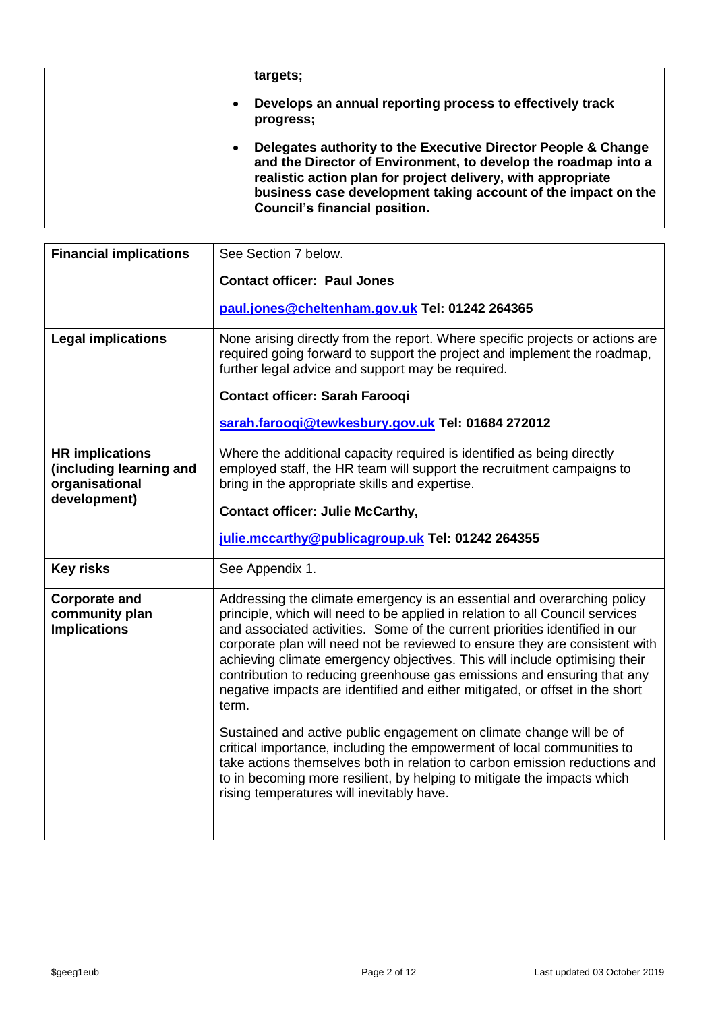**targets;**

- **Develops an annual reporting process to effectively track progress;**
- **Delegates authority to the Executive Director People & Change and the Director of Environment, to develop the roadmap into a realistic action plan for project delivery, with appropriate business case development taking account of the impact on the Council's financial position.**

| <b>Financial implications</b>                                       | See Section 7 below.                                                                                                                                                                                                                                                                                                                                                                                                                                                                                                                                                    |  |  |  |  |  |
|---------------------------------------------------------------------|-------------------------------------------------------------------------------------------------------------------------------------------------------------------------------------------------------------------------------------------------------------------------------------------------------------------------------------------------------------------------------------------------------------------------------------------------------------------------------------------------------------------------------------------------------------------------|--|--|--|--|--|
|                                                                     | <b>Contact officer: Paul Jones</b>                                                                                                                                                                                                                                                                                                                                                                                                                                                                                                                                      |  |  |  |  |  |
|                                                                     | paul.jones@cheltenham.gov.uk Tel: 01242 264365                                                                                                                                                                                                                                                                                                                                                                                                                                                                                                                          |  |  |  |  |  |
| <b>Legal implications</b>                                           | None arising directly from the report. Where specific projects or actions are<br>required going forward to support the project and implement the roadmap,<br>further legal advice and support may be required.                                                                                                                                                                                                                                                                                                                                                          |  |  |  |  |  |
|                                                                     | <b>Contact officer: Sarah Farooqi</b>                                                                                                                                                                                                                                                                                                                                                                                                                                                                                                                                   |  |  |  |  |  |
|                                                                     | sarah.faroogi@tewkesbury.gov.uk Tel: 01684 272012                                                                                                                                                                                                                                                                                                                                                                                                                                                                                                                       |  |  |  |  |  |
| <b>HR</b> implications<br>(including learning and<br>organisational | Where the additional capacity required is identified as being directly<br>employed staff, the HR team will support the recruitment campaigns to<br>bring in the appropriate skills and expertise.                                                                                                                                                                                                                                                                                                                                                                       |  |  |  |  |  |
| development)                                                        | <b>Contact officer: Julie McCarthy,</b>                                                                                                                                                                                                                                                                                                                                                                                                                                                                                                                                 |  |  |  |  |  |
|                                                                     | julie.mccarthy@publicagroup.uk Tel: 01242 264355                                                                                                                                                                                                                                                                                                                                                                                                                                                                                                                        |  |  |  |  |  |
| <b>Key risks</b>                                                    | See Appendix 1.                                                                                                                                                                                                                                                                                                                                                                                                                                                                                                                                                         |  |  |  |  |  |
| <b>Corporate and</b><br>community plan<br><b>Implications</b>       | Addressing the climate emergency is an essential and overarching policy<br>principle, which will need to be applied in relation to all Council services<br>and associated activities. Some of the current priorities identified in our<br>corporate plan will need not be reviewed to ensure they are consistent with<br>achieving climate emergency objectives. This will include optimising their<br>contribution to reducing greenhouse gas emissions and ensuring that any<br>negative impacts are identified and either mitigated, or offset in the short<br>term. |  |  |  |  |  |
|                                                                     | Sustained and active public engagement on climate change will be of<br>critical importance, including the empowerment of local communities to<br>take actions themselves both in relation to carbon emission reductions and<br>to in becoming more resilient, by helping to mitigate the impacts which<br>rising temperatures will inevitably have.                                                                                                                                                                                                                     |  |  |  |  |  |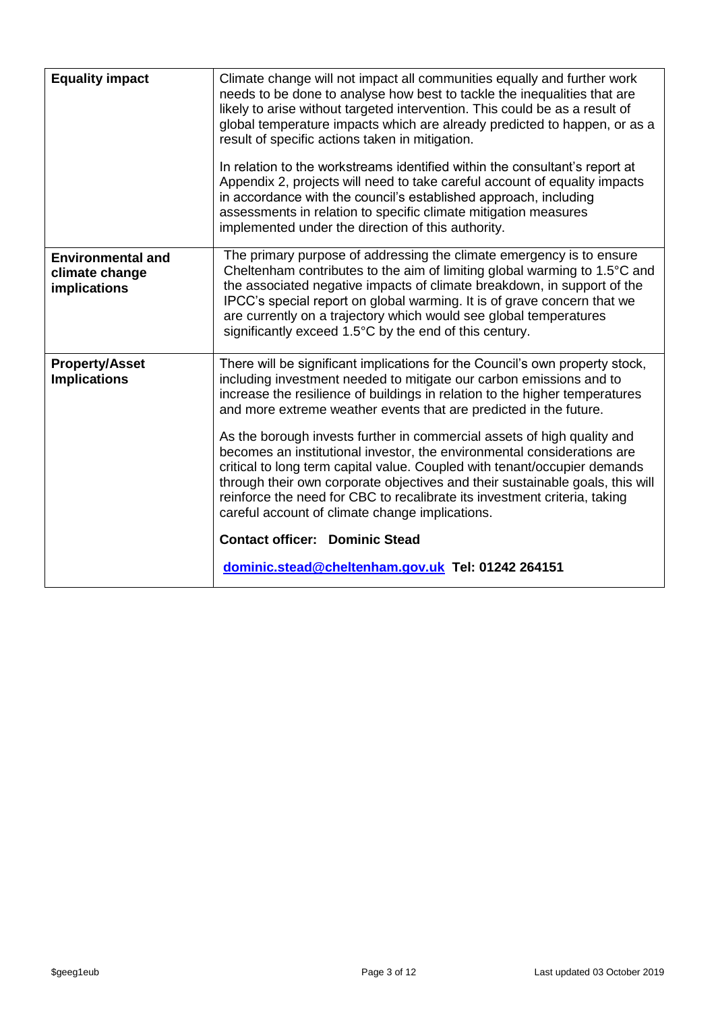| <b>Equality impact</b>                                     | Climate change will not impact all communities equally and further work<br>needs to be done to analyse how best to tackle the inequalities that are<br>likely to arise without targeted intervention. This could be as a result of<br>global temperature impacts which are already predicted to happen, or as a<br>result of specific actions taken in mitigation.<br>In relation to the workstreams identified within the consultant's report at<br>Appendix 2, projects will need to take careful account of equality impacts<br>in accordance with the council's established approach, including<br>assessments in relation to specific climate mitigation measures<br>implemented under the direction of this authority. |
|------------------------------------------------------------|------------------------------------------------------------------------------------------------------------------------------------------------------------------------------------------------------------------------------------------------------------------------------------------------------------------------------------------------------------------------------------------------------------------------------------------------------------------------------------------------------------------------------------------------------------------------------------------------------------------------------------------------------------------------------------------------------------------------------|
| <b>Environmental and</b><br>climate change<br>implications | The primary purpose of addressing the climate emergency is to ensure<br>Cheltenham contributes to the aim of limiting global warming to 1.5°C and<br>the associated negative impacts of climate breakdown, in support of the<br>IPCC's special report on global warming. It is of grave concern that we<br>are currently on a trajectory which would see global temperatures                                                                                                                                                                                                                                                                                                                                                 |
|                                                            | significantly exceed 1.5°C by the end of this century.                                                                                                                                                                                                                                                                                                                                                                                                                                                                                                                                                                                                                                                                       |
| <b>Property/Asset</b><br><b>Implications</b>               | There will be significant implications for the Council's own property stock,<br>including investment needed to mitigate our carbon emissions and to<br>increase the resilience of buildings in relation to the higher temperatures<br>and more extreme weather events that are predicted in the future.                                                                                                                                                                                                                                                                                                                                                                                                                      |
|                                                            | As the borough invests further in commercial assets of high quality and<br>becomes an institutional investor, the environmental considerations are<br>critical to long term capital value. Coupled with tenant/occupier demands<br>through their own corporate objectives and their sustainable goals, this will<br>reinforce the need for CBC to recalibrate its investment criteria, taking<br>careful account of climate change implications.                                                                                                                                                                                                                                                                             |
|                                                            | <b>Contact officer: Dominic Stead</b>                                                                                                                                                                                                                                                                                                                                                                                                                                                                                                                                                                                                                                                                                        |
|                                                            | dominic.stead@cheltenham.gov.uk Tel: 01242 264151                                                                                                                                                                                                                                                                                                                                                                                                                                                                                                                                                                                                                                                                            |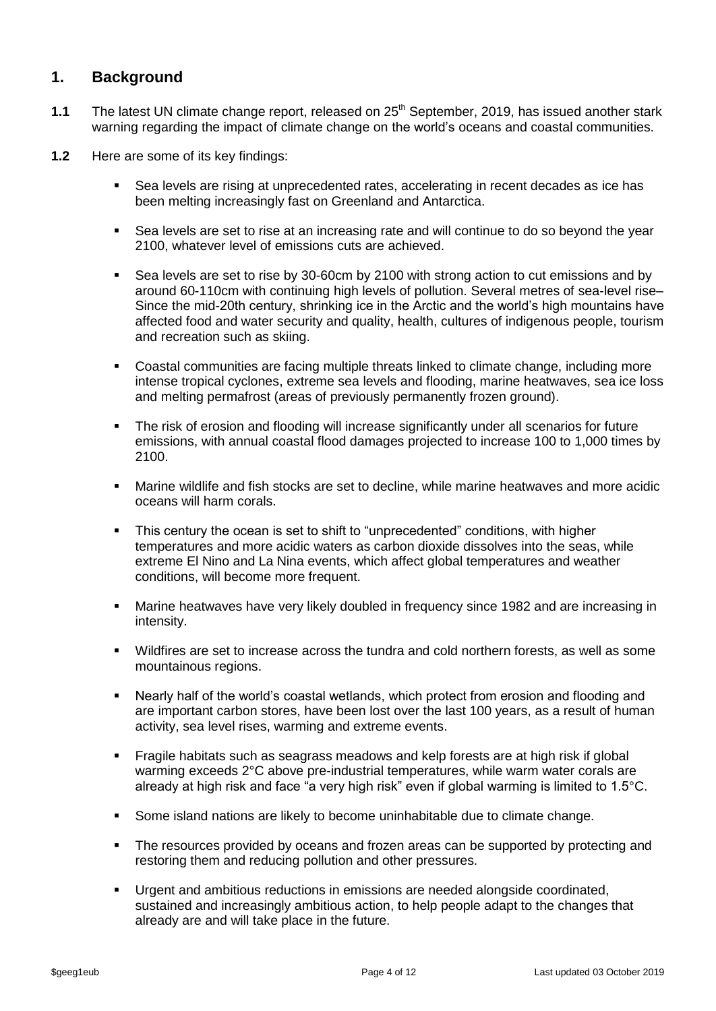#### **1. Background**

- **1.1** The latest UN climate change report, released on 25<sup>th</sup> September, 2019, has issued another stark warning regarding the impact of climate change on the world's oceans and coastal communities.
- **1.2** Here are some of its key findings:
	- Sea levels are rising at unprecedented rates, accelerating in recent decades as ice has been melting increasingly fast on Greenland and Antarctica.
	- Sea levels are set to rise at an increasing rate and will continue to do so beyond the year 2100, whatever level of emissions cuts are achieved.
	- Sea levels are set to rise by 30-60cm by 2100 with strong action to cut emissions and by around 60-110cm with continuing high levels of pollution. Several metres of sea-level rise– Since the mid-20th century, shrinking ice in the Arctic and the world's high mountains have affected food and water security and quality, health, cultures of indigenous people, tourism and recreation such as skiing.
	- Coastal communities are facing multiple threats linked to climate change, including more intense tropical cyclones, extreme sea levels and flooding, marine heatwaves, sea ice loss and melting permafrost (areas of previously permanently frozen ground).
	- The risk of erosion and flooding will increase significantly under all scenarios for future emissions, with annual coastal flood damages projected to increase 100 to 1,000 times by 2100.
	- Marine wildlife and fish stocks are set to decline, while marine heatwaves and more acidic oceans will harm corals.
	- This century the ocean is set to shift to "unprecedented" conditions, with higher temperatures and more acidic waters as carbon dioxide dissolves into the seas, while extreme El Nino and La Nina events, which affect global temperatures and weather conditions, will become more frequent.
	- Marine heatwaves have very likely doubled in frequency since 1982 and are increasing in intensity.
	- Wildfires are set to increase across the tundra and cold northern forests, as well as some mountainous regions.
	- Nearly half of the world's coastal wetlands, which protect from erosion and flooding and are important carbon stores, have been lost over the last 100 years, as a result of human activity, sea level rises, warming and extreme events.
	- Fragile habitats such as seagrass meadows and kelp forests are at high risk if global warming exceeds 2°C above pre-industrial temperatures, while warm water corals are already at high risk and face "a very high risk" even if global warming is limited to 1.5°C.
	- Some island nations are likely to become uninhabitable due to climate change.
	- The resources provided by oceans and frozen areas can be supported by protecting and restoring them and reducing pollution and other pressures.
	- Urgent and ambitious reductions in emissions are needed alongside coordinated, sustained and increasingly ambitious action, to help people adapt to the changes that already are and will take place in the future.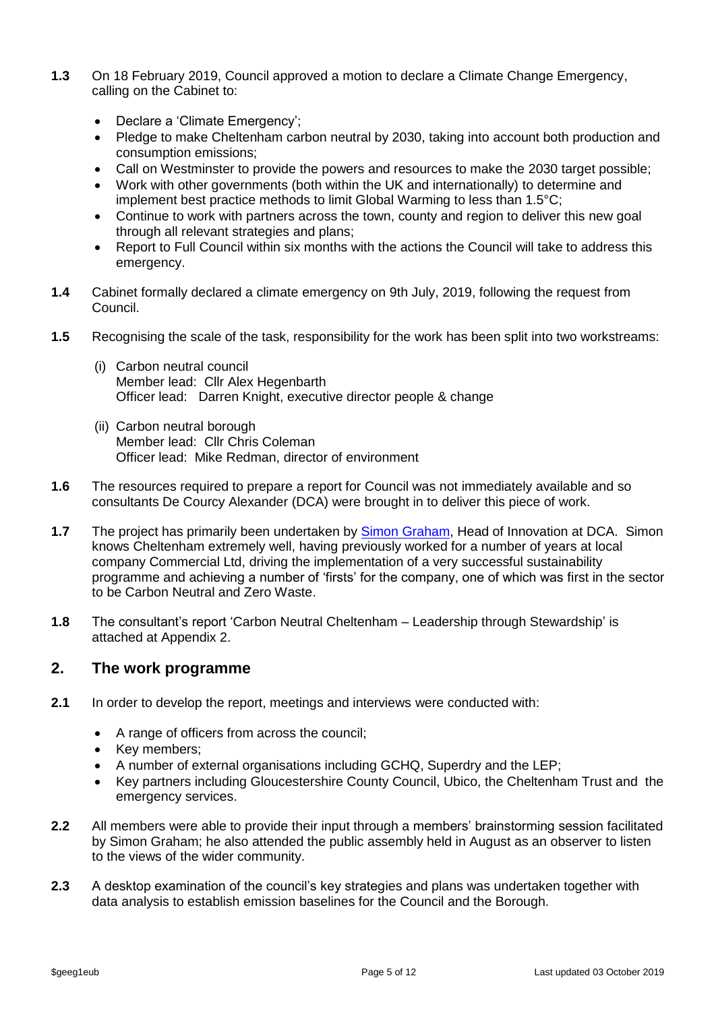- **1.3** On 18 February 2019, Council approved a motion to declare a Climate Change Emergency, calling on the Cabinet to:
	- Declare a 'Climate Emergency';
	- Pledge to make Cheltenham carbon neutral by 2030, taking into account both production and consumption emissions;
	- Call on Westminster to provide the powers and resources to make the 2030 target possible;
	- Work with other governments (both within the UK and internationally) to determine and implement best practice methods to limit Global Warming to less than 1.5°C;
	- Continue to work with partners across the town, county and region to deliver this new goal through all relevant strategies and plans;
	- Report to Full Council within six months with the actions the Council will take to address this emergency.
- **1.4** Cabinet formally declared a climate emergency on 9th July, 2019, following the request from Council.
- **1.5** Recognising the scale of the task, responsibility for the work has been split into two workstreams:
	- (i) Carbon neutral council Member lead: Cllr Alex Hegenbarth Officer lead: Darren Knight, executive director people & change
	- (ii) Carbon neutral borough Member lead: Cllr Chris Coleman Officer lead: Mike Redman, director of environment
- **1.6** The resources required to prepare a report for Council was not immediately available and so consultants De Courcy Alexander (DCA) were brought in to deliver this piece of work.
- **1.7** The project has primarily been undertaken by [Simon Graham,](https://www.linkedin.com/in/simon-graham-/) Head of Innovation at DCA. Simon knows Cheltenham extremely well, having previously worked for a number of years at local company Commercial Ltd, driving the implementation of a very successful sustainability programme and achieving a number of 'firsts' for the company, one of which was first in the sector to be Carbon Neutral and Zero Waste.
- **1.8** The consultant's report 'Carbon Neutral Cheltenham Leadership through Stewardship' is attached at Appendix 2.

#### **2. The work programme**

- **2.1** In order to develop the report, meetings and interviews were conducted with:
	- A range of officers from across the council;
	- Key members;
	- A number of external organisations including GCHQ, Superdry and the LEP;
	- Key partners including Gloucestershire County Council, Ubico, the Cheltenham Trust and the emergency services.
- **2.2** All members were able to provide their input through a members' brainstorming session facilitated by Simon Graham; he also attended the public assembly held in August as an observer to listen to the views of the wider community.
- **2.3** A desktop examination of the council's key strategies and plans was undertaken together with data analysis to establish emission baselines for the Council and the Borough.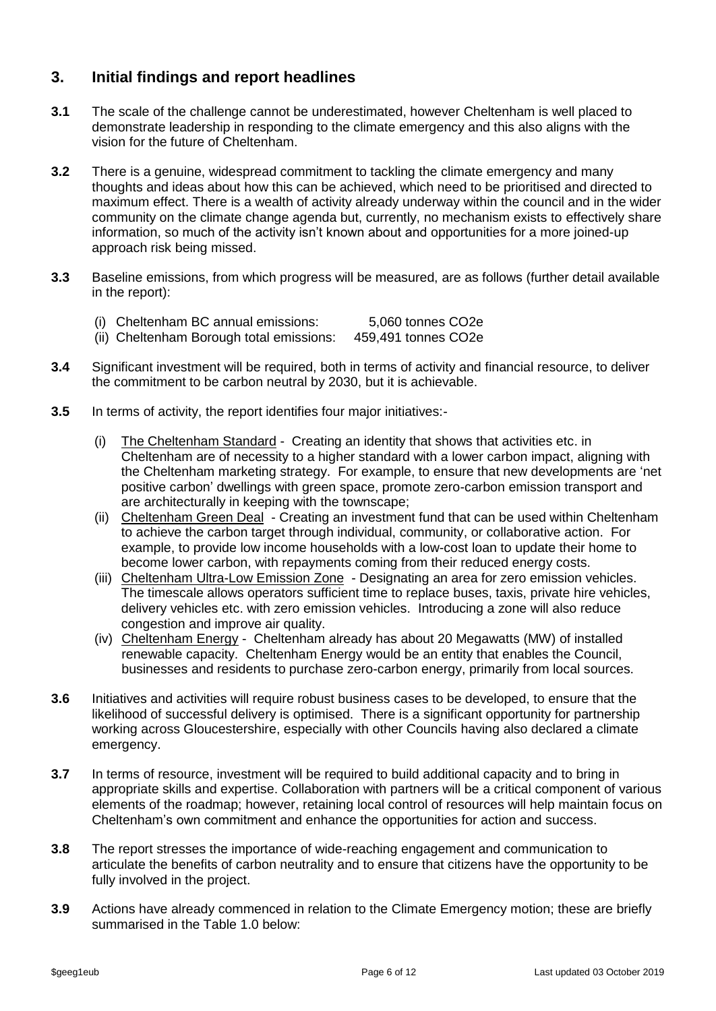### **3. Initial findings and report headlines**

- **3.1** The scale of the challenge cannot be underestimated, however Cheltenham is well placed to demonstrate leadership in responding to the climate emergency and this also aligns with the vision for the future of Cheltenham.
- **3.2** There is a genuine, widespread commitment to tackling the climate emergency and many thoughts and ideas about how this can be achieved, which need to be prioritised and directed to maximum effect. There is a wealth of activity already underway within the council and in the wider community on the climate change agenda but, currently, no mechanism exists to effectively share information, so much of the activity isn't known about and opportunities for a more joined-up approach risk being missed.
- **3.3** Baseline emissions, from which progress will be measured, are as follows (further detail available in the report):
	- (i) Cheltenham BC annual emissions: 5,060 tonnes CO2e
	- (ii) Cheltenham Borough total emissions: 459,491 tonnes CO2e
- **3.4** Significant investment will be required, both in terms of activity and financial resource, to deliver the commitment to be carbon neutral by 2030, but it is achievable.
- **3.5** In terms of activity, the report identifies four major initiatives:-
	- (i) The Cheltenham Standard Creating an identity that shows that activities etc. in Cheltenham are of necessity to a higher standard with a lower carbon impact, aligning with the Cheltenham marketing strategy. For example, to ensure that new developments are 'net positive carbon' dwellings with green space, promote zero-carbon emission transport and are architecturally in keeping with the townscape;
	- (ii) Cheltenham Green Deal Creating an investment fund that can be used within Cheltenham to achieve the carbon target through individual, community, or collaborative action. For example, to provide low income households with a low-cost loan to update their home to become lower carbon, with repayments coming from their reduced energy costs.
	- (iii) Cheltenham Ultra-Low Emission Zone Designating an area for zero emission vehicles. The timescale allows operators sufficient time to replace buses, taxis, private hire vehicles, delivery vehicles etc. with zero emission vehicles. Introducing a zone will also reduce congestion and improve air quality.
	- (iv) Cheltenham Energy Cheltenham already has about 20 Megawatts (MW) of installed renewable capacity. Cheltenham Energy would be an entity that enables the Council, businesses and residents to purchase zero-carbon energy, primarily from local sources.
- **3.6** Initiatives and activities will require robust business cases to be developed, to ensure that the likelihood of successful delivery is optimised. There is a significant opportunity for partnership working across Gloucestershire, especially with other Councils having also declared a climate emergency.
- **3.7** In terms of resource, investment will be required to build additional capacity and to bring in appropriate skills and expertise. Collaboration with partners will be a critical component of various elements of the roadmap; however, retaining local control of resources will help maintain focus on Cheltenham's own commitment and enhance the opportunities for action and success.
- **3.8** The report stresses the importance of wide-reaching engagement and communication to articulate the benefits of carbon neutrality and to ensure that citizens have the opportunity to be fully involved in the project.
- **3.9** Actions have already commenced in relation to the Climate Emergency motion; these are briefly summarised in the Table 1.0 below: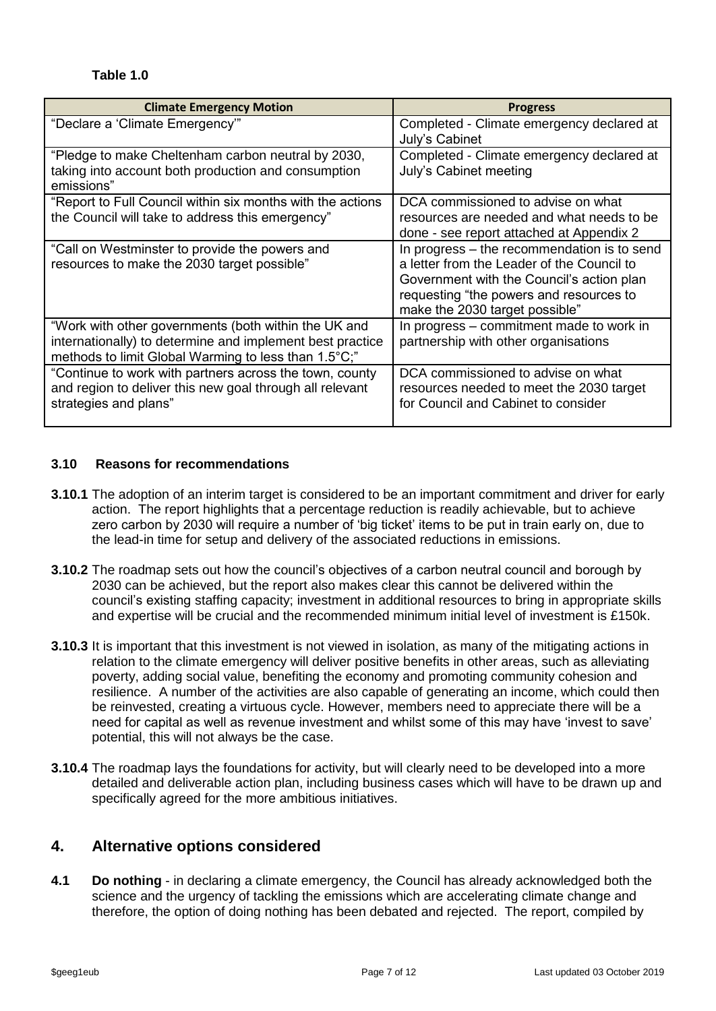#### **Table 1.0**

| <b>Climate Emergency Motion</b>                                                                                                                                           | <b>Progress</b>                                                                                                                                                                                                     |
|---------------------------------------------------------------------------------------------------------------------------------------------------------------------------|---------------------------------------------------------------------------------------------------------------------------------------------------------------------------------------------------------------------|
| "Declare a 'Climate Emergency'"                                                                                                                                           | Completed - Climate emergency declared at<br>July's Cabinet                                                                                                                                                         |
| "Pledge to make Cheltenham carbon neutral by 2030,<br>taking into account both production and consumption<br>emissions"                                                   | Completed - Climate emergency declared at<br>July's Cabinet meeting                                                                                                                                                 |
| "Report to Full Council within six months with the actions<br>the Council will take to address this emergency"                                                            | DCA commissioned to advise on what<br>resources are needed and what needs to be<br>done - see report attached at Appendix 2                                                                                         |
| "Call on Westminster to provide the powers and<br>resources to make the 2030 target possible"                                                                             | In progress – the recommendation is to send<br>a letter from the Leader of the Council to<br>Government with the Council's action plan<br>requesting "the powers and resources to<br>make the 2030 target possible" |
| "Work with other governments (both within the UK and<br>internationally) to determine and implement best practice<br>methods to limit Global Warming to less than 1.5°C;" | In progress – commitment made to work in<br>partnership with other organisations                                                                                                                                    |
| "Continue to work with partners across the town, county<br>and region to deliver this new goal through all relevant<br>strategies and plans"                              | DCA commissioned to advise on what<br>resources needed to meet the 2030 target<br>for Council and Cabinet to consider                                                                                               |

#### **3.10 Reasons for recommendations**

- **3.10.1** The adoption of an interim target is considered to be an important commitment and driver for early action. The report highlights that a percentage reduction is readily achievable, but to achieve zero carbon by 2030 will require a number of 'big ticket' items to be put in train early on, due to the lead-in time for setup and delivery of the associated reductions in emissions.
- **3.10.2** The roadmap sets out how the council's objectives of a carbon neutral council and borough by 2030 can be achieved, but the report also makes clear this cannot be delivered within the council's existing staffing capacity; investment in additional resources to bring in appropriate skills and expertise will be crucial and the recommended minimum initial level of investment is £150k.
- **3.10.3** It is important that this investment is not viewed in isolation, as many of the mitigating actions in relation to the climate emergency will deliver positive benefits in other areas, such as alleviating poverty, adding social value, benefiting the economy and promoting community cohesion and resilience. A number of the activities are also capable of generating an income, which could then be reinvested, creating a virtuous cycle. However, members need to appreciate there will be a need for capital as well as revenue investment and whilst some of this may have 'invest to save' potential, this will not always be the case.
- **3.10.4** The roadmap lays the foundations for activity, but will clearly need to be developed into a more detailed and deliverable action plan, including business cases which will have to be drawn up and specifically agreed for the more ambitious initiatives.

#### **4. Alternative options considered**

**4.1 Do nothing** - in declaring a climate emergency, the Council has already acknowledged both the science and the urgency of tackling the emissions which are accelerating climate change and therefore, the option of doing nothing has been debated and rejected. The report, compiled by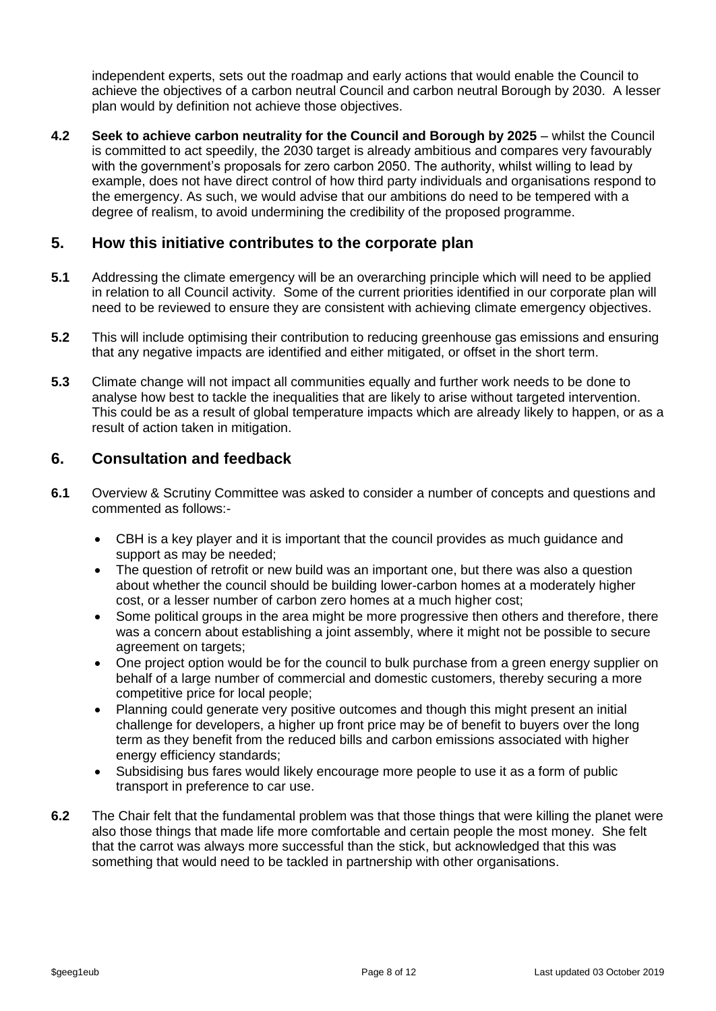independent experts, sets out the roadmap and early actions that would enable the Council to achieve the objectives of a carbon neutral Council and carbon neutral Borough by 2030. A lesser plan would by definition not achieve those objectives.

**4.2 Seek to achieve carbon neutrality for the Council and Borough by 2025** – whilst the Council is committed to act speedily, the 2030 target is already ambitious and compares very favourably with the government's proposals for zero carbon 2050. The authority, whilst willing to lead by example, does not have direct control of how third party individuals and organisations respond to the emergency. As such, we would advise that our ambitions do need to be tempered with a degree of realism, to avoid undermining the credibility of the proposed programme.

#### **5. How this initiative contributes to the corporate plan**

- **5.1** Addressing the climate emergency will be an overarching principle which will need to be applied in relation to all Council activity. Some of the current priorities identified in our corporate plan will need to be reviewed to ensure they are consistent with achieving climate emergency objectives.
- **5.2** This will include optimising their contribution to reducing greenhouse gas emissions and ensuring that any negative impacts are identified and either mitigated, or offset in the short term.
- **5.3** Climate change will not impact all communities equally and further work needs to be done to analyse how best to tackle the inequalities that are likely to arise without targeted intervention. This could be as a result of global temperature impacts which are already likely to happen, or as a result of action taken in mitigation.

#### **6. Consultation and feedback**

- **6.1** Overview & Scrutiny Committee was asked to consider a number of concepts and questions and commented as follows:-
	- CBH is a key player and it is important that the council provides as much guidance and support as may be needed;
	- The question of retrofit or new build was an important one, but there was also a question about whether the council should be building lower-carbon homes at a moderately higher cost, or a lesser number of carbon zero homes at a much higher cost;
	- Some political groups in the area might be more progressive then others and therefore, there was a concern about establishing a joint assembly, where it might not be possible to secure agreement on targets;
	- One project option would be for the council to bulk purchase from a green energy supplier on behalf of a large number of commercial and domestic customers, thereby securing a more competitive price for local people;
	- Planning could generate very positive outcomes and though this might present an initial challenge for developers, a higher up front price may be of benefit to buyers over the long term as they benefit from the reduced bills and carbon emissions associated with higher energy efficiency standards;
	- Subsidising bus fares would likely encourage more people to use it as a form of public transport in preference to car use.
- **6.2** The Chair felt that the fundamental problem was that those things that were killing the planet were also those things that made life more comfortable and certain people the most money. She felt that the carrot was always more successful than the stick, but acknowledged that this was something that would need to be tackled in partnership with other organisations.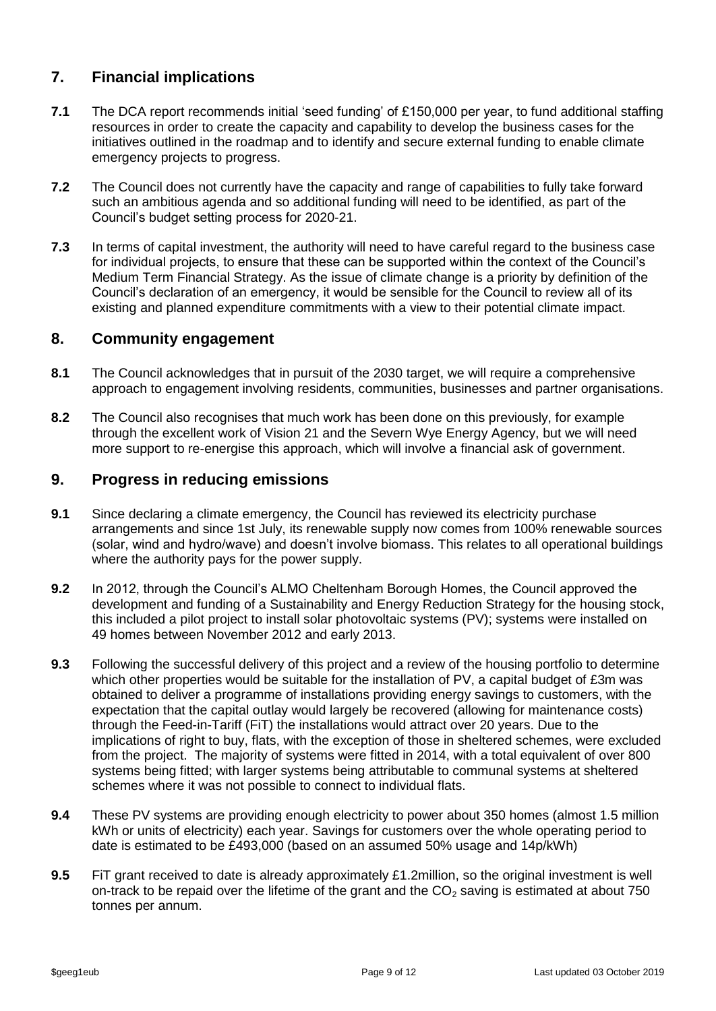### **7. Financial implications**

- **7.1** The DCA report recommends initial 'seed funding' of £150,000 per year, to fund additional staffing resources in order to create the capacity and capability to develop the business cases for the initiatives outlined in the roadmap and to identify and secure external funding to enable climate emergency projects to progress.
- **7.2** The Council does not currently have the capacity and range of capabilities to fully take forward such an ambitious agenda and so additional funding will need to be identified, as part of the Council's budget setting process for 2020-21.
- **7.3** In terms of capital investment, the authority will need to have careful regard to the business case for individual projects, to ensure that these can be supported within the context of the Council's Medium Term Financial Strategy. As the issue of climate change is a priority by definition of the Council's declaration of an emergency, it would be sensible for the Council to review all of its existing and planned expenditure commitments with a view to their potential climate impact.

#### **8. Community engagement**

- **8.1** The Council acknowledges that in pursuit of the 2030 target, we will require a comprehensive approach to engagement involving residents, communities, businesses and partner organisations.
- **8.2** The Council also recognises that much work has been done on this previously, for example through the excellent work of Vision 21 and the Severn Wye Energy Agency, but we will need more support to re-energise this approach, which will involve a financial ask of government.

#### **9. Progress in reducing emissions**

- **9.1** Since declaring a climate emergency, the Council has reviewed its electricity purchase arrangements and since 1st July, its renewable supply now comes from 100% renewable sources (solar, wind and hydro/wave) and doesn't involve biomass. This relates to all operational buildings where the authority pays for the power supply.
- **9.2** In 2012, through the Council's ALMO Cheltenham Borough Homes, the Council approved the development and funding of a Sustainability and Energy Reduction Strategy for the housing stock, this included a pilot project to install solar photovoltaic systems (PV); systems were installed on 49 homes between November 2012 and early 2013.
- **9.3** Following the successful delivery of this project and a review of the housing portfolio to determine which other properties would be suitable for the installation of PV, a capital budget of £3m was obtained to deliver a programme of installations providing energy savings to customers, with the expectation that the capital outlay would largely be recovered (allowing for maintenance costs) through the Feed-in-Tariff (FiT) the installations would attract over 20 years. Due to the implications of right to buy, flats, with the exception of those in sheltered schemes, were excluded from the project. The majority of systems were fitted in 2014, with a total equivalent of over 800 systems being fitted; with larger systems being attributable to communal systems at sheltered schemes where it was not possible to connect to individual flats.
- **9.4** These PV systems are providing enough electricity to power about 350 homes (almost 1.5 million kWh or units of electricity) each year. Savings for customers over the whole operating period to date is estimated to be £493,000 (based on an assumed 50% usage and 14p/kWh)
- **9.5** FiT grant received to date is already approximately £1.2million, so the original investment is well on-track to be repaid over the lifetime of the grant and the  $CO<sub>2</sub>$  saving is estimated at about 750 tonnes per annum.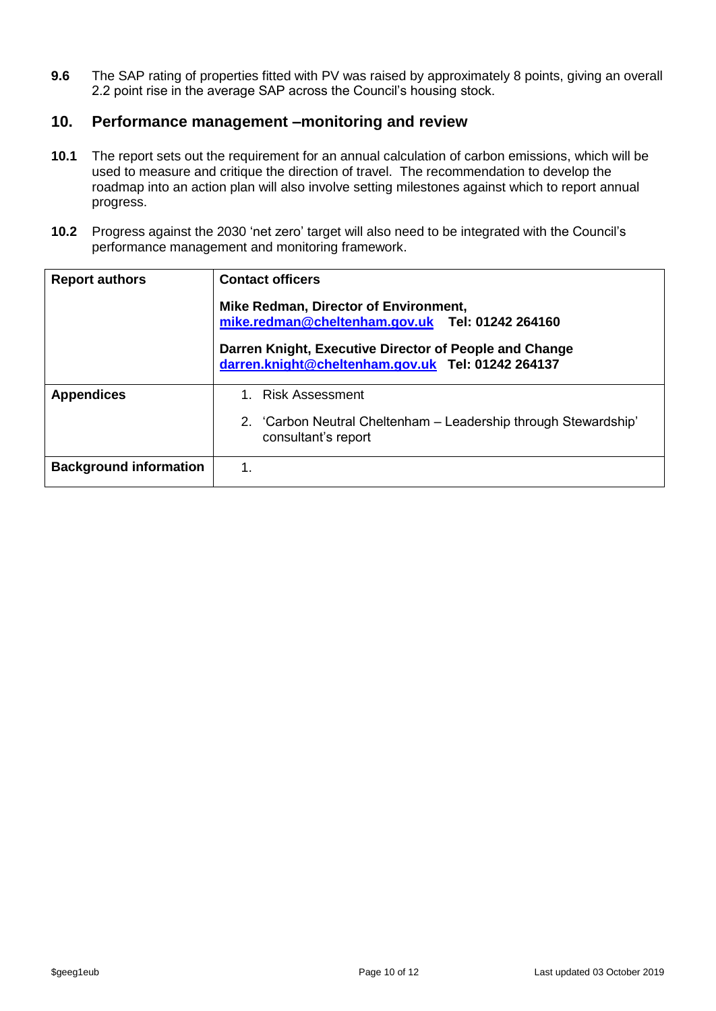**9.6** The SAP rating of properties fitted with PV was raised by approximately 8 points, giving an overall 2.2 point rise in the average SAP across the Council's housing stock.

#### **10. Performance management –monitoring and review**

- **10.1** The report sets out the requirement for an annual calculation of carbon emissions, which will be used to measure and critique the direction of travel. The recommendation to develop the roadmap into an action plan will also involve setting milestones against which to report annual progress.
- **10.2** Progress against the 2030 'net zero' target will also need to be integrated with the Council's performance management and monitoring framework.

| <b>Report authors</b>         | <b>Contact officers</b><br>Mike Redman, Director of Environment,<br>mike.redman@cheltenham.gov.uk Tel: 01242 264160<br>Darren Knight, Executive Director of People and Change<br>darren.knight@cheltenham.gov.uk Tel: 01242 264137 |  |  |  |  |  |  |
|-------------------------------|------------------------------------------------------------------------------------------------------------------------------------------------------------------------------------------------------------------------------------|--|--|--|--|--|--|
| <b>Appendices</b>             | 1. Risk Assessment<br>2. 'Carbon Neutral Cheltenham – Leadership through Stewardship'                                                                                                                                              |  |  |  |  |  |  |
|                               | consultant's report                                                                                                                                                                                                                |  |  |  |  |  |  |
| <b>Background information</b> | 1.                                                                                                                                                                                                                                 |  |  |  |  |  |  |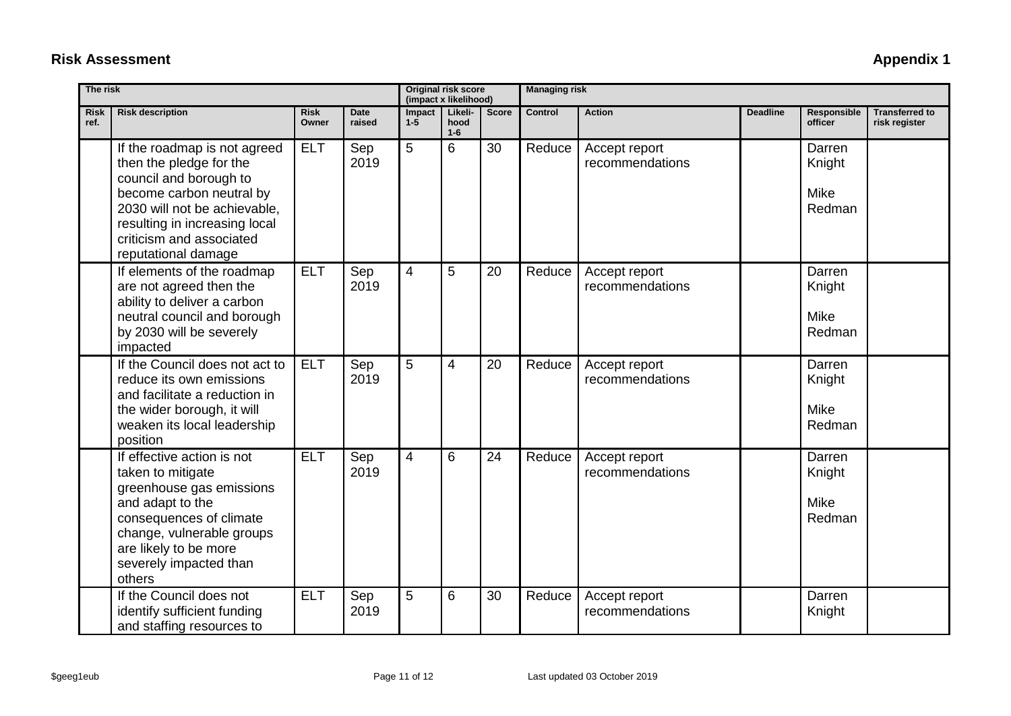| <b>Risk</b><br>ref. | <b>Risk description</b>                                                                                                                                                                                                           | <b>Risk</b><br>Owner | <b>Date</b><br>raised | Impact<br>$1 - 5$ | Likeli-<br>hood<br>$1-6$ | <b>Score</b> | <b>Control</b> | <b>Action</b>                    | <b>Deadline</b> | Responsible<br>officer             | <b>Transferred to</b><br>risk register |
|---------------------|-----------------------------------------------------------------------------------------------------------------------------------------------------------------------------------------------------------------------------------|----------------------|-----------------------|-------------------|--------------------------|--------------|----------------|----------------------------------|-----------------|------------------------------------|----------------------------------------|
|                     | If the roadmap is not agreed<br>then the pledge for the<br>council and borough to<br>become carbon neutral by<br>2030 will not be achievable.<br>resulting in increasing local<br>criticism and associated<br>reputational damage | <b>ELT</b>           | Sep<br>2019           | 5                 | 6                        | 30           | Reduce         | Accept report<br>recommendations |                 | Darren<br>Knight<br>Mike<br>Redman |                                        |
|                     | If elements of the roadmap<br>are not agreed then the<br>ability to deliver a carbon<br>neutral council and borough<br>by 2030 will be severely<br>impacted                                                                       | <b>ELT</b>           | Sep<br>2019           | $\overline{4}$    | 5                        | 20           | Reduce         | Accept report<br>recommendations |                 | Darren<br>Knight<br>Mike<br>Redman |                                        |
|                     | If the Council does not act to<br>reduce its own emissions<br>and facilitate a reduction in<br>the wider borough, it will<br>weaken its local leadership<br>position                                                              | <b>ELT</b>           | Sep<br>2019           | 5                 | 4                        | 20           | Reduce         | Accept report<br>recommendations |                 | Darren<br>Knight<br>Mike<br>Redman |                                        |
|                     | If effective action is not<br>taken to mitigate<br>greenhouse gas emissions<br>and adapt to the<br>consequences of climate<br>change, vulnerable groups<br>are likely to be more<br>severely impacted than<br>others              | <b>ELT</b>           | Sep<br>2019           | $\overline{4}$    | 6                        | 24           | Reduce         | Accept report<br>recommendations |                 | Darren<br>Knight<br>Mike<br>Redman |                                        |
|                     | If the Council does not<br>identify sufficient funding<br>and staffing resources to                                                                                                                                               | <b>ELT</b>           | Sep<br>2019           | 5                 | 6                        | 30           | Reduce         | Accept report<br>recommendations |                 | Darren<br>Knight                   |                                        |

**Managing risk**

**(impact x likelihood)**

## **Risk Assessment** Appendix 1

**The risk Original risk score**